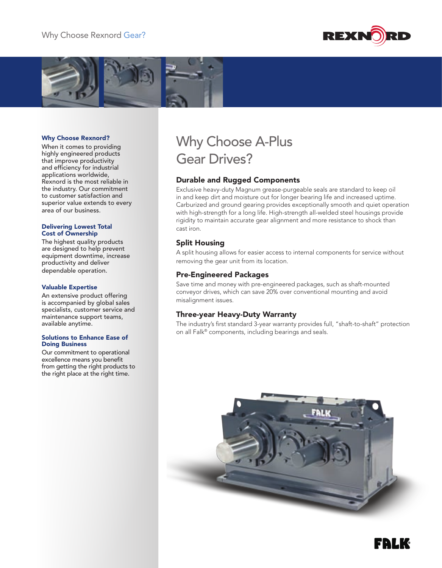



#### Why Choose Rexnord?

When it comes to providing highly engineered products that improve productivity and efficiency for industrial applications worldwide, Rexnord is the most reliable in the industry. Our commitment to customer satisfaction and superior value extends to every area of our business.

#### Delivering Lowest Total Cost of Ownership

The highest quality products are designed to help prevent equipment downtime, increase productivity and deliver dependable operation.

#### Valuable Expertise

An extensive product offering is accompanied by global sales specialists, customer service and maintenance support teams, available anytime.

#### Solutions to Enhance Ease of Doing Business

Our commitment to operational excellence means you benefit from getting the right products to the right place at the right time.

# Why Choose A-Plus Gear Drives?

## Durable and Rugged Components

Exclusive heavy-duty Magnum grease-purgeable seals are standard to keep oil in and keep dirt and moisture out for longer bearing life and increased uptime. Carburized and ground gearing provides exceptionally smooth and quiet operation with high-strength for a long life. High-strength all-welded steel housings provide rigidity to maintain accurate gear alignment and more resistance to shock than cast iron.

## Split Housing

A split housing allows for easier access to internal components for service without removing the gear unit from its location.

#### Pre-Engineered Packages

Save time and money with pre-engineered packages, such as shaft-mounted conveyor drives, which can save 20% over conventional mounting and avoid misalignment issues.

#### Three-year Heavy-Duty Warranty

The industry's first standard 3-year warranty provides full, "shaft-to-shaft" protection on all Falk® components, including bearings and seals.